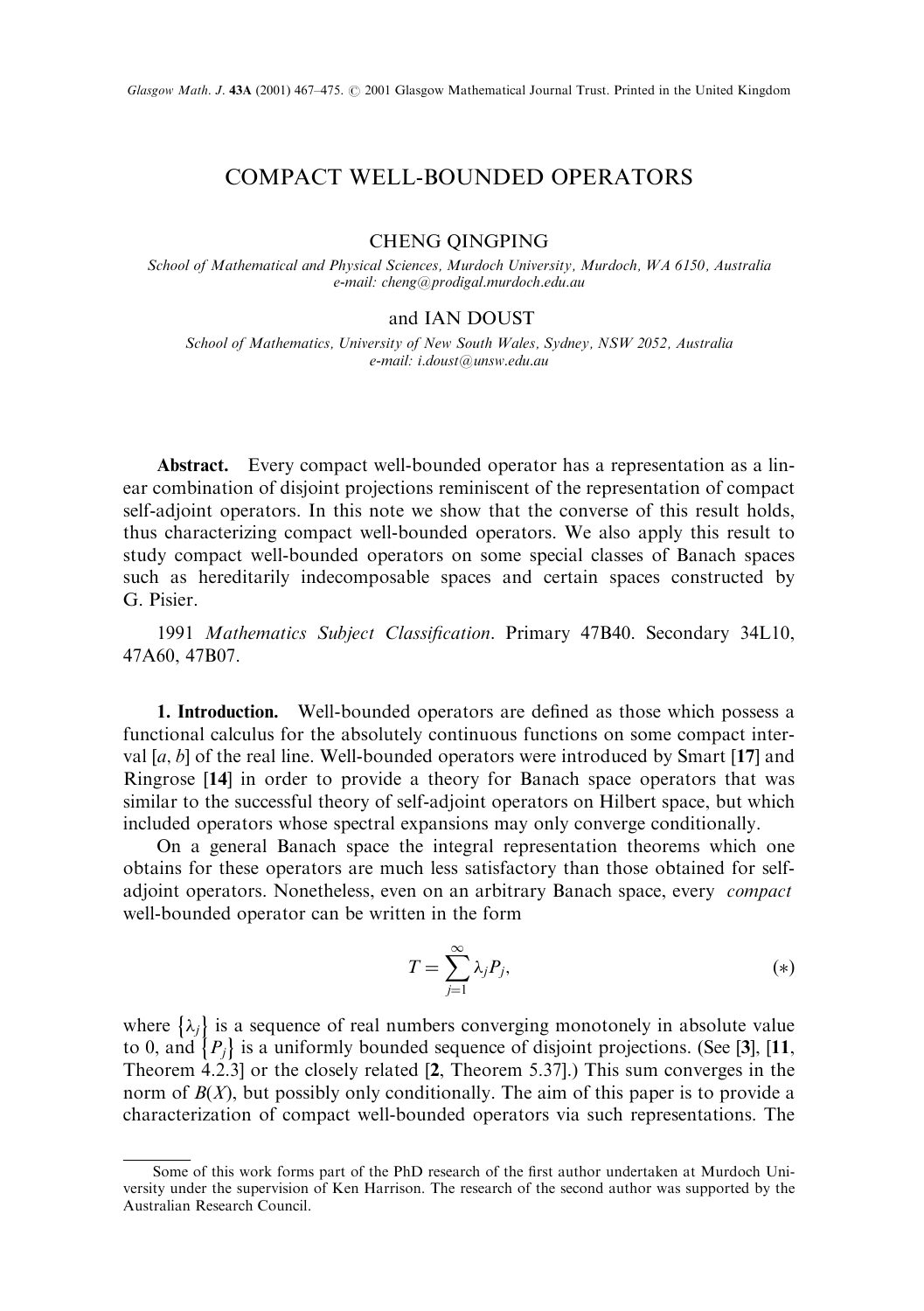## COMPACT WELL-BOUNDED OPERATORS

## CHENG QINGPING

School of Mathematical and Physical Sciences, Murdoch University, Murdoch, WA 6150, Australia e-mail: cheng@prodigal.murdoch.edu.au

## and IAN DOUST

School of Mathematics, University of New South Wales, Sydney, NSW 2052, Australia e-mail: i.doust@unsw.edu.au

Abstract. Every compact well-bounded operator has a representation as a linear combination of disjoint projections reminiscent of the representation of compact self-adjoint operators. In this note we show that the converse of this result holds, thus characterizing compact well-bounded operators. We also apply this result to study compact well-bounded operators on some special classes of Banach spaces such as hereditarily indecomposable spaces and certain spaces constructed by G. Pisier.

1991 Mathematics Subject Classification. Primary 47B40. Secondary 34L10, 47A60, 47B07.

1. Introduction. Well-bounded operators are defined as those which possess a functional calculus for the absolutely continuous functions on some compact interval  $[a, b]$  of the real line. Well-bounded operators were introduced by Smart [17] and Ringrose [14] in order to provide a theory for Banach space operators that was similar to the successful theory of self-adjoint operators on Hilbert space, but which included operators whose spectral expansions may only converge conditionally.

On a general Banach space the integral representation theorems which one obtains for these operators are much less satisfactory than those obtained for selfadjoint operators. Nonetheless, even on an arbitrary Banach space, every compact well-bounded operator can be written in the form

$$
T = \sum_{j=1}^{\infty} \lambda_j P_j,\tag{*}
$$

where  $\{\lambda_j\}$  is a sequence of real numbers converging monotonely in absolute value to 0, and  $\{P_j\}$  is a uniformly bounded sequence of disjoint projections. (See [3], [11, Theorem 4.2.3] or the closely related [2, Theorem 5.37].) This sum converges in the norm of  $B(X)$ , but possibly only conditionally. The aim of this paper is to provide a characterization of compact well-bounded operators via such representations. The

Some of this work forms part of the PhD research of the first author undertaken at Murdoch University under the supervision of Ken Harrison. The research of the second author was supported by the Australian Research Council.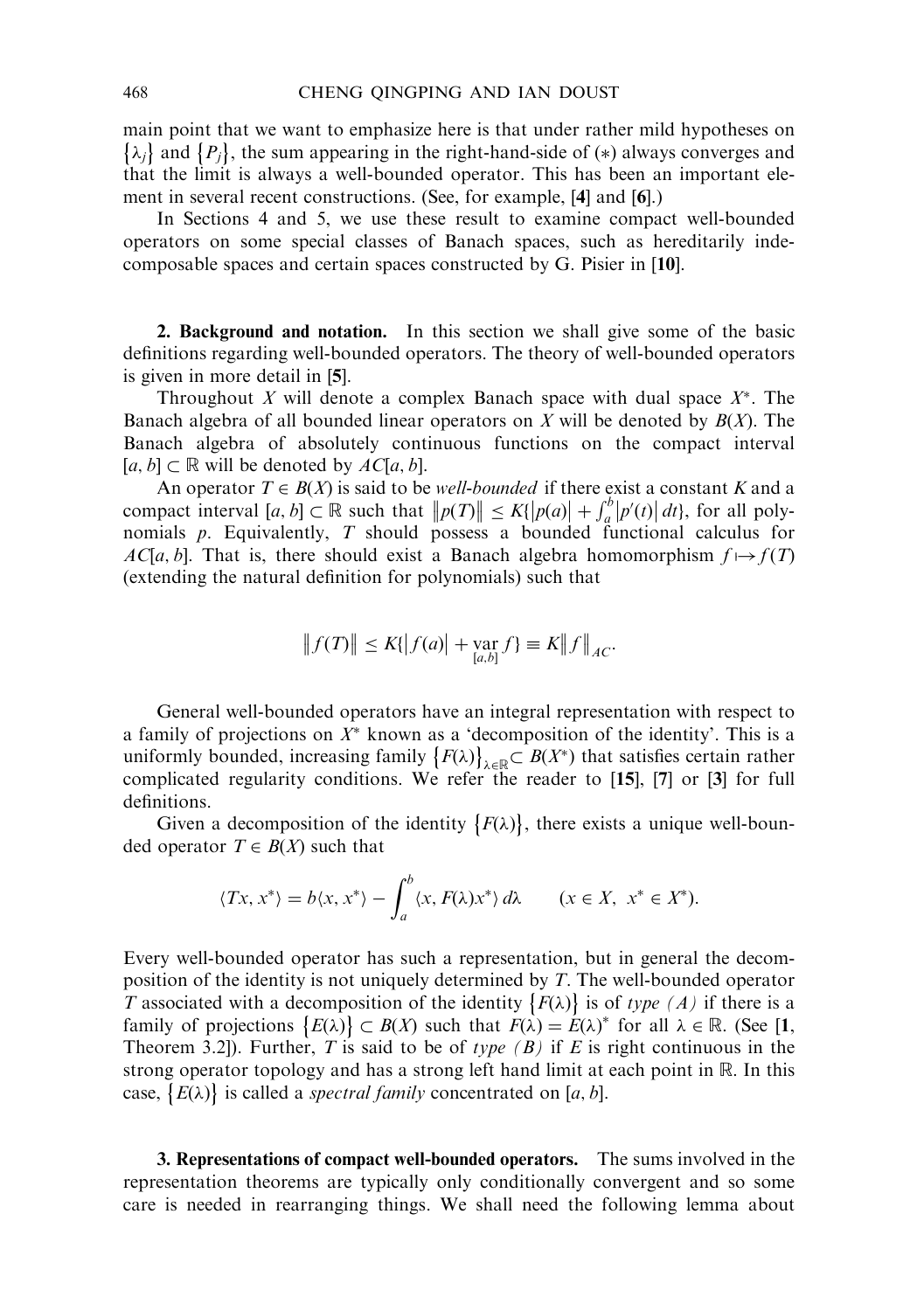main point that we want to emphasize here is that under rather mild hypotheses on  $\{\lambda_j\}$  and  $\{P_j\}$ , the sum appearing in the right-hand-side of  $(*)$  always converges and that the limit is always a well-bounded operator. This has been an important element in several recent constructions. (See, for example, [4] and [6].)

In Sections 4 and 5, we use these result to examine compact well-bounded operators on some special classes of Banach spaces, such as hereditarily indecomposable spaces and certain spaces constructed by G. Pisier in [10].

2. Background and notation. In this section we shall give some of the basic definitions regarding well-bounded operators. The theory of well-bounded operators is given in more detail in [5].

Throughout X will denote a complex Banach space with dual space  $X^*$ . The Banach algebra of all bounded linear operators on X will be denoted by  $B(X)$ . The Banach algebra of absolutely continuous functions on the compact interval  $[a, b] \subset \mathbb{R}$  will be denoted by  $AC[a, b]$ .

An operator  $T \in B(X)$  is said to be *well-bounded* if there exist a constant K and a compact interval  $[a, b] \subset \mathbb{R}$  such that  $||p(T)|| \le K\{|p(a)| + \int_a^b |p'(t)| dt\}$ , for all polynomials  $p$ . Equivalently,  $T$  should possess a bounded functional calculus for  $AC[a, b]$ . That is, there should exist a Banach algebra homomorphism  $f \mapsto f(T)$ (extending the natural definition for polynomials) such that

$$
|| f(T) || \le K||f(a)| + \mathop{\text{var}}_{[a,b]} f \equiv K||f||_{AC}.
$$

General well-bounded operators have an integral representation with respect to a family of projections on  $X^*$  known as a 'decomposition of the identity'. This is a uniformly bounded, increasing family  $\{F(\lambda)\}$  $\lambda \in \mathbb{R} \subset B(X^*)$  that satisfies certain rather complicated regularity conditions. We refer the reader to [15], [7] or [3] for full definitions.

Given a decomposition of the identity  $\{F(\lambda)\}\$ , there exists a unique well-bounded operator  $T \in B(X)$  such that

$$
\langle Tx, x^* \rangle = b \langle x, x^* \rangle - \int_a^b \langle x, F(\lambda) x^* \rangle \, d\lambda \qquad (x \in X, \ x^* \in X^*).
$$

Every well-bounded operator has such a representation, but in general the decomposition of the identity is not uniquely determined by T. The well-bounded operator T associated with a decomposition of the identity  $\{F(\lambda)\}\)$  is of type (A) if there is a family of projections  $\{E(\lambda)\}\subset B(X)$  such that  $F(\lambda) = E(\lambda)^*$  for all  $\lambda \in \mathbb{R}$ . (See [1, Theorem 3.2]). Further, T is said to be of type  $(B)$  if E is right continuous in the strong operator topology and has a strong left hand limit at each point in R. In this case,  $\{E(\lambda)\}\$ is called a *spectral family* concentrated on [a, b].

3. Representations of compact well-bounded operators. The sums involved in the representation theorems are typically only conditionally convergent and so some care is needed in rearranging things. We shall need the following lemma about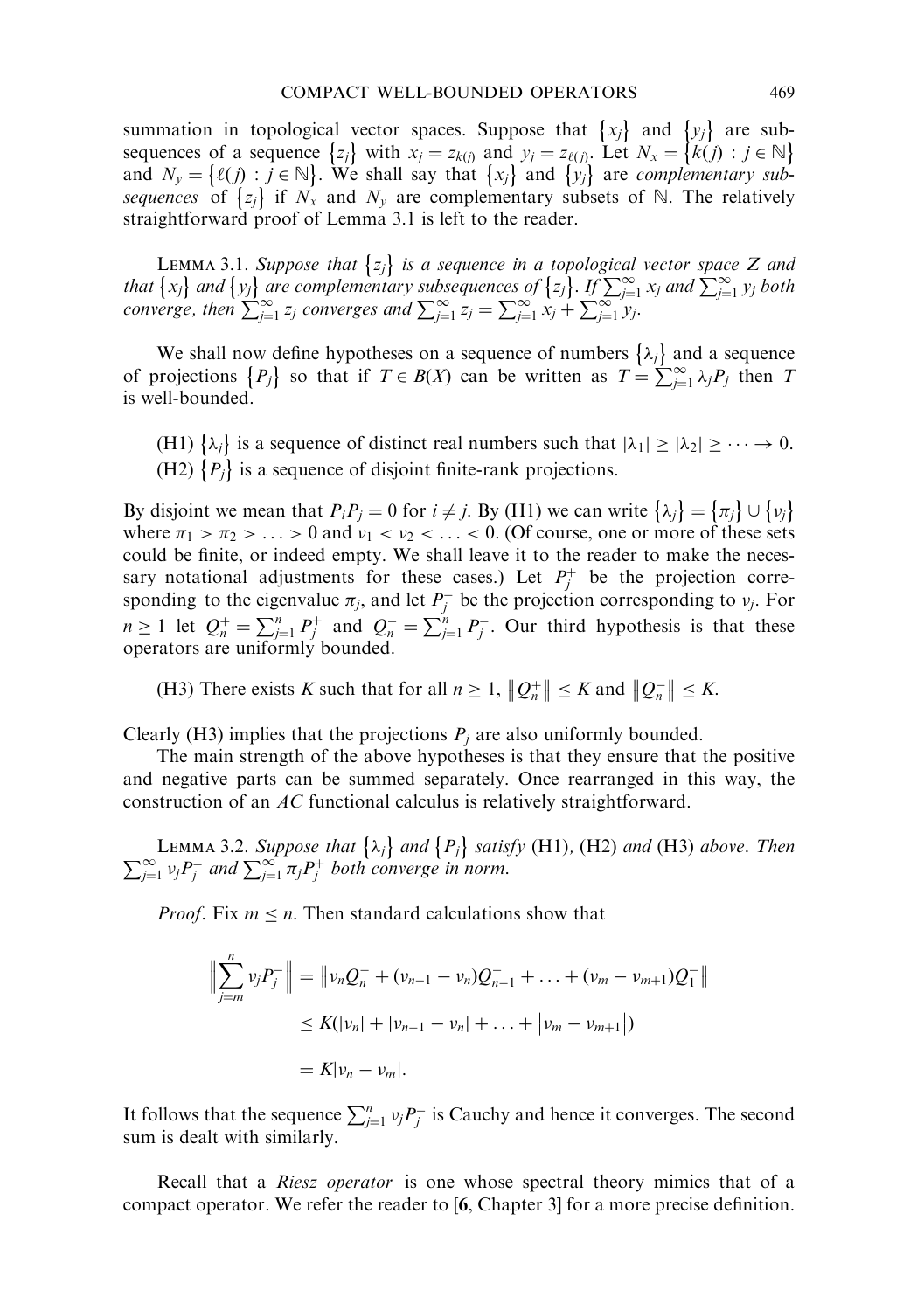summation in topological vector spaces. Suppose that  $\{x_j\}$  and  $\{y_j\}$  are subsummation in topological vector spaces. Suppose that  $\begin{bmatrix} x_j \end{bmatrix}$  and  $\begin{bmatrix} y_j \end{bmatrix}$  are subsequences of a sequence  $\begin{bmatrix} z_j \end{bmatrix}$  with  $x_j = z_{k(j)}$  and  $y_j = z_{\ell(j)}$ . Let  $N_x = \{k(j) : j \in \mathbb{N}\}$ and  $N_y = \{ \ell(j) : j \in \mathbb{N} \}$ . We shall say that  $\{x_j\}$  and  $\{y_j\}$  are *complementary sub*sequences of  $\{z_j\}$  if  $N_x$  and  $N_y$  are complementary subsets of N. The relatively straightforward proof of Lemma 3.1 is left to the reader.

**LEMMA 3.1.** Suppose that  $\{z_j\}$  is a sequence in a topological vector space Z and that  $\{x_j\}$  and  $\{y_j\}$  are complementary subsequences of  $\{z_j\}$ . If  $\sum_{j=1}^{\infty} x_j$  and  $\sum_{j=1}^{\infty} y_j$  both converge, then  $\sum_{j=1}^{\infty} z_j$  converges and  $\sum_{j=1}^{\infty} z_j = \sum_{j=1}^{\infty} x_j + \sum_{j=1}^{\infty} y_j$ .

We shall now define hypotheses on a sequence of numbers  $\{\lambda_j\}$  and a sequence of projections  $\{P_j\}$  so that if  $T \in B(X)$  can be written as  $T = \sum_{j=1}^{\infty} \lambda_j P_j$  then T is well-bounded.

(H1)  $\{\lambda_j\}$  is a sequence of distinct real numbers such that  $|\lambda_1| \ge |\lambda_2| \ge \cdots \to 0$ . (H2)  $\{P_j\}$  is a sequence of disjoint finite-rank projections.

By disjoint we mean that  $P_i P_j = 0$  for  $i \neq j$ . By (H1) we can write  $\{\lambda_j\} = \{\pi_j\} \cup \{\nu_j\}$ where  $\pi_1 > \pi_2 > \ldots > 0$  and  $\nu_1 < \nu_2 < \ldots < 0$ . (Of course, one or more of these sets could be finite, or indeed empty. We shall leave it to the reader to make the necessary notational adjustments for these cases.) Let  $P_j^+$  be the projection corresponding to the eigenvalue  $\pi_j$ , and let  $P_j^-$  be the projection corresponding to  $v_j$ . For  $n \geq 1$  let  $Q_n^+ = \sum_{j=1}^n P_j^+$  and  $Q_n^- = \sum_{j=1}^n P_j^-$ . Our third hypothesis is that these operators are uniformly bounded.

(H3) There exists K such that for all  $n \ge 1$ ,  $\|Q_n^+\|$  $||Q_n^+|| \leq K$  and  $||Q_n^-||$  $||Q_n^-|| \leq K.$ 

Clearly (H3) implies that the projections  $P_i$  are also uniformly bounded.

The main strength of the above hypotheses is that they ensure that the positive and negative parts can be summed separately. Once rearranged in this way, the construction of an AC functional calculus is relatively straightforward.

LEMMA 3.2. Suppose that  $\{\lambda_j\}$  and  $\{P_j\}$ LEMMA 3.2. Suppose that  $\{\lambda_j\}$  and  $\{P_j\}$  satisfy (H1), (H2) and (H3) above. Then  $\sum_{j=1}^{\infty} v_j P_j^-$  and  $\sum_{j=1}^{\infty} \pi_j P_j^+$  both converge in norm.

*Proof.* Fix  $m \leq n$ . Then standard calculations show that

$$
\left\| \sum_{j=m}^{n} v_j P_j^- \right\| = \left\| v_n Q_n^- + (v_{n-1} - v_n) Q_{n-1}^- + \dots + (v_m - v_{m+1}) Q_1^- \right\|
$$
  

$$
\leq K(|v_n| + |v_{n-1} - v_n| + \dots + |v_m - v_{m+1}|)
$$
  

$$
= K|v_n - v_m|.
$$

It follows that the sequence  $\sum_{j=1}^{n} v_j P_j^-$  is Cauchy and hence it converges. The second sum is dealt with similarly.

Recall that a Riesz operator is one whose spectral theory mimics that of a compact operator. We refer the reader to [6, Chapter 3] for a more precise definition.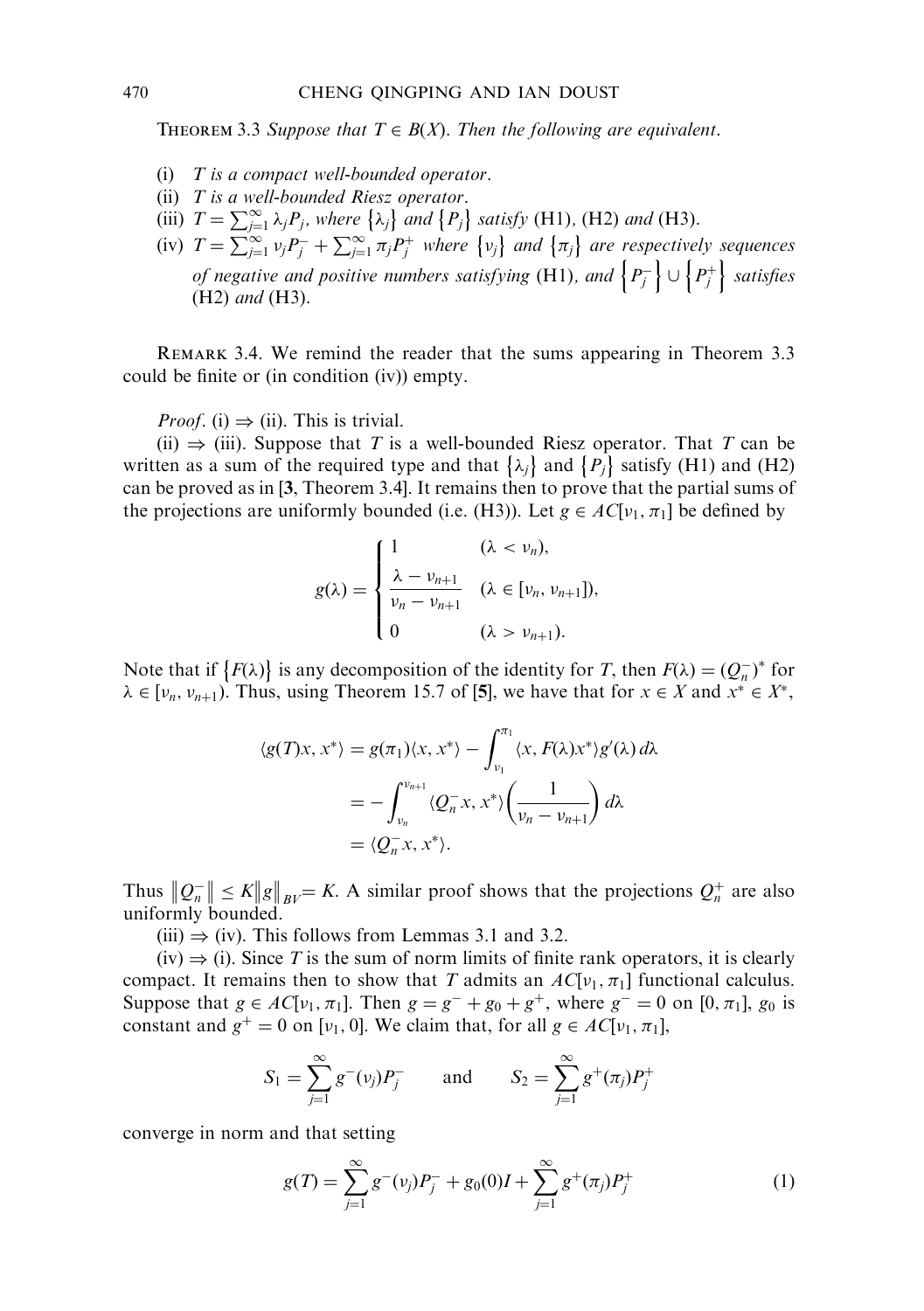THEOREM 3.3 Suppose that  $T \in B(X)$ . Then the following are equivalent.

- (i)  $T$  is a compact well-bounded operator.
- (ii)  $T$  is a well-bounded Riesz operator.
- (ii) T is a wear-bounded Rds2 operator.<br>
(iii)  $T = \sum_{j=1}^{\infty} \lambda_j P_j$ , where  $\{\lambda_j\}$  and  $\{P_j\}$  satisfy (H1), (H2) and (H3).
- (iv)  $T = \sum_{j=1}^{\infty} v_j P_j^- + \sum_{j=1}^{\infty} \pi_j P_j^+$  where  $\{v_j\}$  and  $\{\pi_j\}$  are respectively sequences  $\sum_{j=1}^{n}$   $\sum_{j=1}^{n}$   $\sum_{j=1}^{n}$   $\sum_{j=1}^{n}$   $\sum_{j=1}^{n}$   $\sum_{j=1}^{n}$   $\sum_{j=1}^{n}$   $\sum_{j=1}^{n}$   $\sum_{j=1}^{n}$   $\sum_{j=1}^{n}$   $\sum_{j=1}^{n}$   $\sum_{j=1}^{n}$   $\sum_{j=1}^{n}$   $\sum_{j=1}^{n}$   $\sum_{j=1}^{n}$   $\sum_{j=1}^{n}$   $\sum_{j=1}^{n}$  (H2) and (H3).

REMARK 3.4. We remind the reader that the sums appearing in Theorem 3.3 could be finite or (in condition (iv)) empty.

*Proof.* (i)  $\Rightarrow$  (ii). This is trivial.

(ii)  $\Rightarrow$  (iii). Suppose that T is a well-bounded Riesz operator. That T can be written as a sum of the required type and that  $\{\lambda_j\}$  and  $\{P_j\}$  satisfy (H1) and (H2) can be proved as in [3, Theorem 3.4]. It remains then to prove that the partial sums of the projections are uniformly bounded (i.e. (H3)). Let  $g \in AC[v_1, \pi_1]$  be defined by

$$
g(\lambda) = \begin{cases} 1 & (\lambda < v_n), \\ \frac{\lambda - v_{n+1}}{v_n - v_{n+1}} & (\lambda \in [v_n, v_{n+1}]), \\ 0 & (\lambda > v_{n+1}). \end{cases}
$$

Note that if  $\{F(\lambda)\}\$ is any decomposition of the identity for T, then  $F(\lambda) = (Q_n^{-})^*$  for  $\lambda \in [v_n, v_{n+1})$ . Thus, using Theorem 15.7 of [5], we have that for  $x \in X$  and  $x^* \in X^*$ ,

$$
\langle g(T)x, x^* \rangle = g(\pi_1) \langle x, x^* \rangle - \int_{\nu_1}^{\pi_1} \langle x, F(\lambda) x^* \rangle g'(\lambda) d\lambda
$$
  
= 
$$
- \int_{\nu_n}^{\nu_{n+1}} \langle Q_n^- x, x^* \rangle \left( \frac{1}{\nu_n - \nu_{n+1}} \right) d\lambda
$$
  
= 
$$
\langle Q_n^- x, x^* \rangle.
$$

Thus  $\|Q_n^ ||Q_n|| \leq K ||g||_{BV} = K$ . A similar proof shows that the projections  $Q_n^+$  are also uniformly bounded.

(iii)  $\Rightarrow$  (iv). This follows from Lemmas 3.1 and 3.2.

 $(iv) \Rightarrow (i)$ . Since T is the sum of norm limits of finite rank operators, it is clearly compact. It remains then to show that T admits an  $AC[v_1, \pi_1]$  functional calculus. Suppose that  $g \in AC[v_1, \pi_1]$ . Then  $g = g^- + g_0 + g^+$ , where  $g^- = 0$  on  $[0, \pi_1]$ ,  $g_0$  is constant and  $g^+ = 0$  on [ $\nu_1$ , 0]. We claim that, for all  $g \in AC[\nu_1, \pi_1]$ ,

$$
S_1 = \sum_{j=1}^{\infty} g^{-}(v_j) P_j^{-}
$$
 and  $S_2 = \sum_{j=1}^{\infty} g^{+}(\pi_j) P_j^{+}$ 

converge in norm and that setting

$$
g(T) = \sum_{j=1}^{\infty} g^{-}(v_j) P_j^{-} + g_0(0)I + \sum_{j=1}^{\infty} g^{+}(\pi_j) P_j^{+}
$$
 (1)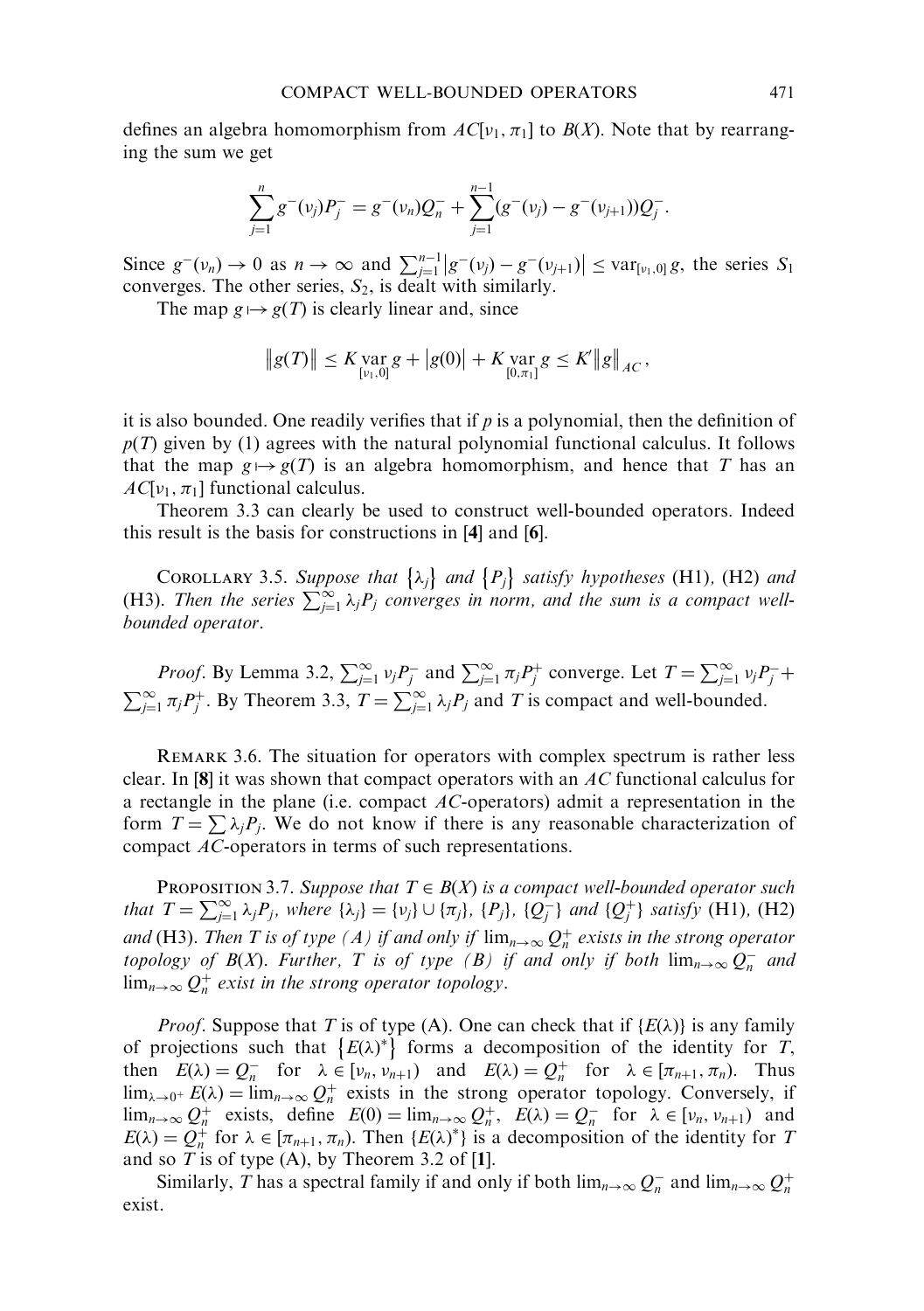defines an algebra homomorphism from  $AC[v_1, \pi_1]$  to  $B(X)$ . Note that by rearranging the sum we get

$$
\sum_{j=1}^n g^-(v_j) P_j^- = g^-(v_n) Q_n^- + \sum_{j=1}^{n-1} (g^-(v_j) - g^-(v_{j+1})) Q_j^-.
$$

Since  $g^-(v_n) \to 0$  as  $n \to \infty$  and  $\sum_{j=1}^{n-1} |g^-(v_j) - g^-(v_{j+1})| \leq \text{var}_{[v_1,0]} g$ , the series  $S_1$ converges. The other series,  $S_2$ , is dealt with similarly.

The map  $g \mapsto g(T)$  is clearly linear and, since

$$
||g(T)|| \leq K \operatorname*{var}_{[v_1,0]} g + |g(0)| + K \operatorname*{var}_{[0,\pi_1]} g \leq K' ||g||_{AC}
$$

it is also bounded. One readily verifies that if  $p$  is a polynomial, then the definition of  $p(T)$  given by (1) agrees with the natural polynomial functional calculus. It follows that the map  $g \mapsto g(T)$  is an algebra homomorphism, and hence that T has an  $AC[v_1, \pi_1]$  functional calculus.

Theorem 3.3 can clearly be used to construct well-bounded operators. Indeed this result is the basis for constructions in [4] and [6].

COROLLARY 3.5. Suppose that  $\{\lambda_j\}$  and  $\{P_j\}$  satisfy hypotheses (H1), (H2) and (H3). Then the series  $\sum_{j=1}^{\infty} \lambda_j P_j$  converges in norm, and the sum is a compact wellbounded operator.

*Proof.* By Lemma 3.2,  $\sum_{j=1}^{\infty} v_j P_j^-$  and  $\sum_{j=1}^{\infty} \pi_j P_j^+$  converge. Let  $T = \sum_{j=1}^{\infty} v_j P_j^-$ +  $\sum_{j=1}^{\infty} \pi_j P_j^+$ . By Theorem 3.3,  $T = \sum_{j=1}^{\infty} \lambda_j P_j$  and T is compact and well-bounded.

Remark 3.6. The situation for operators with complex spectrum is rather less clear. In [8] it was shown that compact operators with an AC functional calculus for a rectangle in the plane (i.e. compact  $AC$ -operators) admit a representation in the form  $T = \sum \lambda_j P_j$ . We do not know if there is any reasonable characterization of compact AC-operators in terms of such representations.

PROPOSITION 3.7. Suppose that  $T \in B(X)$  is a compact well-bounded operator such that  $T = \sum_{j=1}^{\infty} \lambda_j P_j$ , where  $\{\lambda_j\} = \{\nu_j\} \cup \{\pi_j\}$ ,  $\{P_j\}$ ,  $\{Q_j^-\}$  and  $\{Q_j^+\}$  satisfy (H1), (H2) and (H3). Then T is of type (A) if and only if  $\lim_{n\to\infty} Q_n^+$  exists in the strong operator topology of  $B(X)$ . Further, T is of type (B) if and only if both  $\lim_{n\to\infty} Q_n^-$  and  $\lim_{n\to\infty} Q_n^+$  exist in the strong operator topology.

*Proof.* Suppose that T is of type (A). One can check that if  $\{E(\lambda)\}\)$  is any family of projections such that  ${E(\lambda)}^*$  forms a decomposition of the identity for T, then  $E(\lambda) = Q_n^-$  for  $\lambda \in [\nu_n, \nu_{n+1})$  and  $E(\lambda) = Q_n^+$  for  $\lambda \in [\pi_{n+1}, \pi_n)$ . Thus  $\lim_{\lambda \to 0^+} E(\lambda) = \lim_{n \to \infty} Q_n^+$  exists in the strong operator topology. Conversely, if  $\lim_{n\to\infty} Q_n^+$  exists, define  $E(0) = \lim_{n\to\infty} Q_n^+$ ,  $E(\lambda) = Q_n^-$  for  $\lambda \in [\nu_n, \nu_{n+1})$  and  $E(\lambda) = Q_n^+$  for  $\lambda \in [\pi_{n+1}, \pi_n)$ . Then  $\{E(\lambda)^*\}$  is a decomposition of the identity for T and so  $T$  is of type (A), by Theorem 3.2 of [1].

Similarly, T has a spectral family if and only if both  $\lim_{n\to\infty} Q_n^-$  and  $\lim_{n\to\infty} Q_n^+$ exist.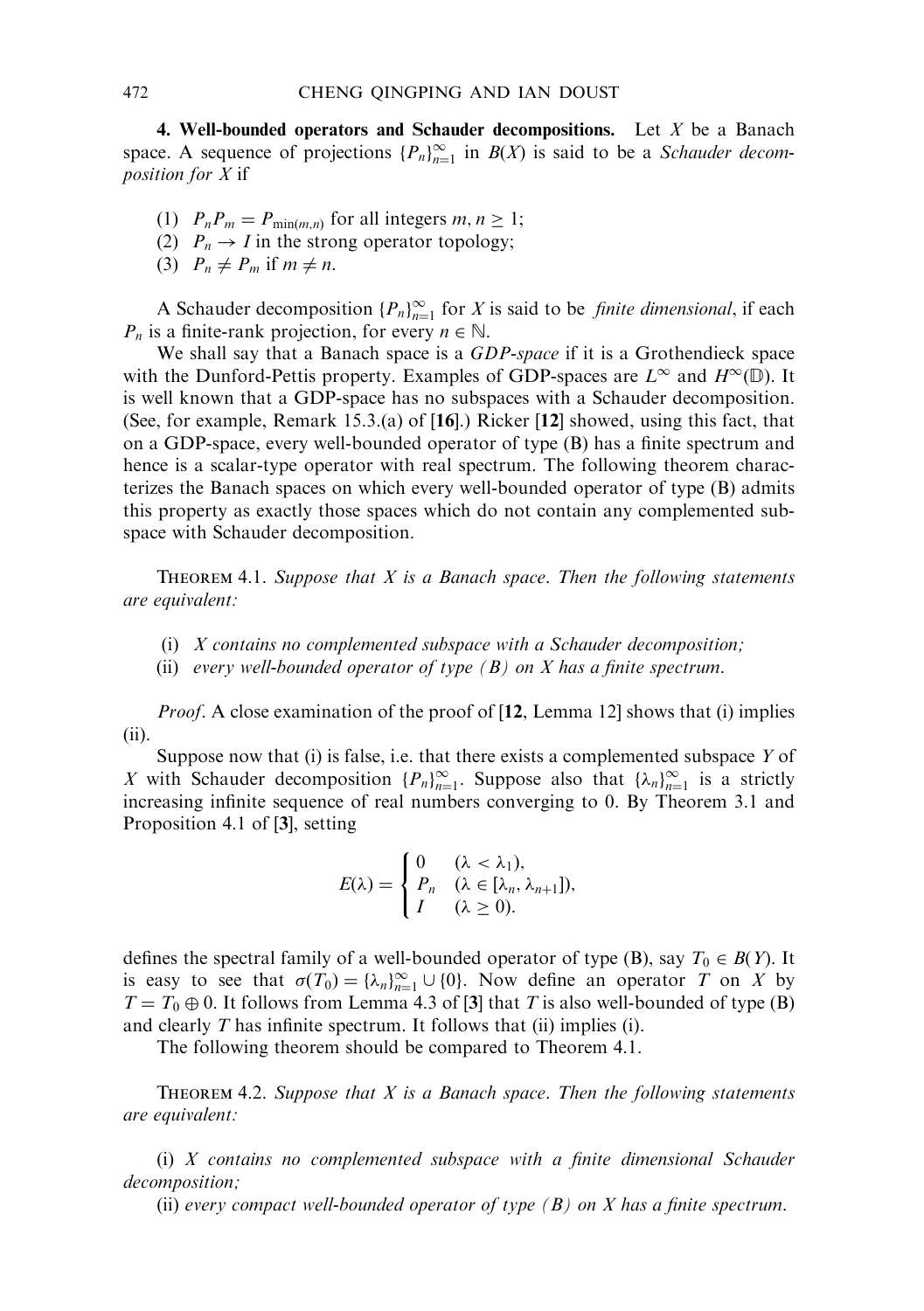4. Well-bounded operators and Schauder decompositions. Let  $X$  be a Banach space. A sequence of projections  ${P_n}_{n=1}^{\infty}$  in  $B(X)$  is said to be a *Schauder decom*position for X if

- (1)  $P_n P_m = P_{\min(m,n)}$  for all integers  $m, n \ge 1$ ;
- (2)  $P_n \to I$  in the strong operator topology;
- (3)  $P_n \neq P_m$  if  $m \neq n$ .

A Schauder decomposition  ${P_n}_{n=1}^{\infty}$  for X is said to be *finite dimensional*, if each  $P_n$  is a finite-rank projection, for every  $n \in \mathbb{N}$ .

We shall say that a Banach space is a GDP-space if it is a Grothendieck space with the Dunford-Pettis property. Examples of GDP-spaces are  $L^{\infty}$  and  $H^{\infty}(\mathbb{D})$ . It is well known that a GDP-space has no subspaces with a Schauder decomposition. (See, for example, Remark 15.3.(a) of [16].) Ricker [12] showed, using this fact, that on a GDP-space, every well-bounded operator of type (B) has a finite spectrum and hence is a scalar-type operator with real spectrum. The following theorem characterizes the Banach spaces on which every well-bounded operator of type (B) admits this property as exactly those spaces which do not contain any complemented subspace with Schauder decomposition.

THEOREM 4.1. Suppose that  $X$  is a Banach space. Then the following statements are equivalent:

- (i) X contains no complemented subspace with a Schauder decomposition;
- (ii) every well-bounded operator of type  $(B)$  on X has a finite spectrum.

Proof. A close examination of the proof of [12, Lemma 12] shows that (i) implies (ii).

Suppose now that  $(i)$  is false, i.e. that there exists a complemented subspace  $Y$  of X with Schauder decomposition  ${P_n}_{n=1}^{\infty}$ . Suppose also that  ${\lambda_n}_{n=1}^{\infty}$  is a strictly increasing infinite sequence of real numbers converging to 0. By Theorem 3.1 and Proposition 4.1 of [3], setting

$$
E(\lambda) = \begin{cases} 0 & (\lambda < \lambda_1), \\ P_n & (\lambda \in [\lambda_n, \lambda_{n+1}]), \\ I & (\lambda \ge 0). \end{cases}
$$

defines the spectral family of a well-bounded operator of type (B), say  $T_0 \in B(Y)$ . It is easy to see that  $\sigma(T_0) = {\lambda_n}_{n=1}^{\infty} \cup \{0\}$ . Now define an operator T on X by  $T = T_0 \oplus 0$ . It follows from Lemma 4.3 of [3] that T is also well-bounded of type (B) and clearly T has infinite spectrum. It follows that (ii) implies (i).

The following theorem should be compared to Theorem 4.1.

THEOREM 4.2. Suppose that  $X$  is a Banach space. Then the following statements are equivalent:

(i) X contains no complemented subspace with a finite dimensional Schauder decomposition;

(ii) every compact well-bounded operator of type  $(B)$  on X has a finite spectrum.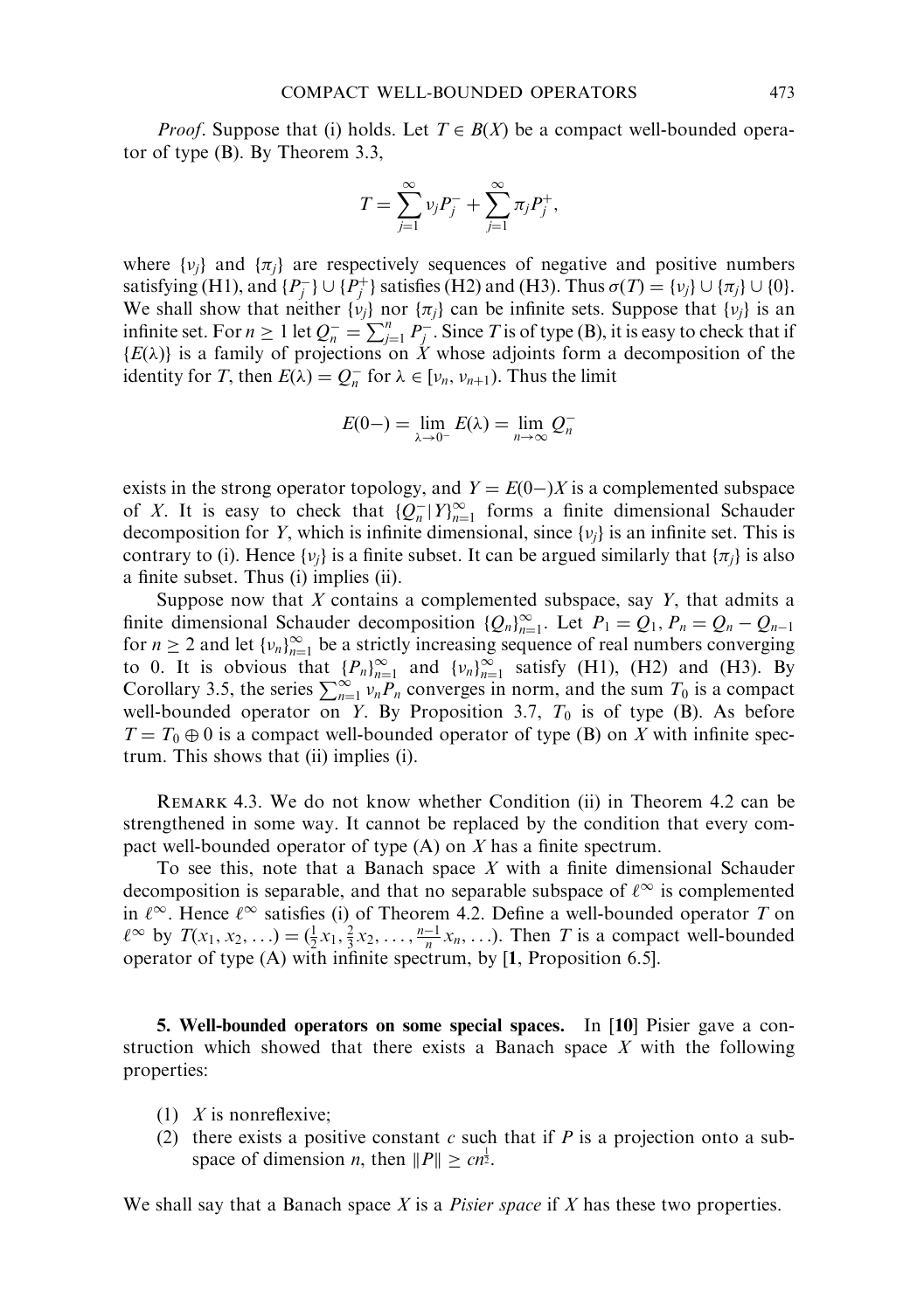*Proof.* Suppose that (i) holds. Let  $T \in B(X)$  be a compact well-bounded operator of type (B). By Theorem 3.3,

$$
T = \sum_{j=1}^{\infty} v_j P_j^- + \sum_{j=1}^{\infty} \pi_j P_j^+,
$$

where  $\{v_i\}$  and  $\{\pi_i\}$  are respectively sequences of negative and positive numbers satisfying (H1), and  $\{P_j^-\}\cup\{P_j^+\}$  satisfies (H2) and (H3). Thus  $\sigma(T) = \{v_j\}\cup\{\pi_j\}\cup\{0\}$ . We shall show that neither  $\{v_i\}$  nor  $\{\pi_i\}$  can be infinite sets. Suppose that  $\{v_i\}$  is an infinite set. For  $n \ge 1$  let  $Q_n^- = \sum_{j=1}^n P_j^-$ . Since T is of type (B), it is easy to check that if  ${E(\lambda)}$  is a family of projections on X whose adjoints form a decomposition of the identity for T, then  $E(\lambda) = Q_n^-$  for  $\lambda \in [\nu_n, \nu_{n+1})$ . Thus the limit

$$
E(0-) = \lim_{\lambda \to 0^-} E(\lambda) = \lim_{n \to \infty} Q_n^-
$$

exists in the strong operator topology, and  $Y = E(0)$  is a complemented subspace of X. It is easy to check that  ${Q_n^{-} | Y_{n=1}^{\infty} }$  forms a finite dimensional Schauder decomposition for Y, which is infinite dimensional, since  $\{v_j\}$  is an infinite set. This is contrary to (i). Hence  $\{v_i\}$  is a finite subset. It can be argued similarly that  $\{\pi_i\}$  is also a finite subset. Thus (i) implies (ii).

Suppose now that  $X$  contains a complemented subspace, say  $Y$ , that admits a finite dimensional Schauder decomposition  ${Q_n}_{n=1}^{\infty}$ . Let  $P_1 = Q_1$ ,  $P_n = Q_n - Q_{n-1}$ for  $n \ge 2$  and let  $\{v_n\}_{n=1}^{\infty}$  be a strictly increasing sequence of real numbers converging to 0. It is obvious that  $\{P_n\}_{n=1}^{\infty}$  and  $\{v_n\}_{n=1}^{\infty}$  satisfy (H1), (H2) and (H3). By Corollary 3.5, the series  $\sum_{n=1}^{\infty} v_n P_n$  converges in norm, and the sum  $T_0$  is a compact well-bounded operator on Y. By Proposition 3.7,  $T_0$  is of type (B). As before  $T = T_0 \oplus 0$  is a compact well-bounded operator of type (B) on X with infinite spectrum. This shows that (ii) implies (i).

Remark 4.3. We do not know whether Condition (ii) in Theorem 4.2 can be strengthened in some way. It cannot be replaced by the condition that every compact well-bounded operator of type (A) on X has a finite spectrum.

To see this, note that a Banach space  $X$  with a finite dimensional Schauder decomposition is separable, and that no separable subspace of  $\ell^{\infty}$  is complemented in  $\ell^{\infty}$ . Hence  $\ell^{\infty}$  satisfies (i) of Theorem 4.2. Define a well-bounded operator T on  $\ell^{\infty}$  by  $T(x_1, x_2, ...) = (\frac{1}{2}x_1, \frac{2}{3}x_2, \ldots, \frac{n-1}{n}x_n, \ldots)$ . Then T is a compact well-bounded operator of type (A) with infinite spectrum, by [1, Proposition 6.5].

5. Well-bounded operators on some special spaces. In [10] Pisier gave a construction which showed that there exists a Banach space  $X$  with the following properties:

- (1)  $X$  is nonreflexive;
- (2) there exists a positive constant c such that if  $P$  is a projection onto a subspace of dimension *n*, then  $||P|| \geq cn^{\frac{1}{2}}$ .

We shall say that a Banach space X is a *Pisier space* if X has these two properties.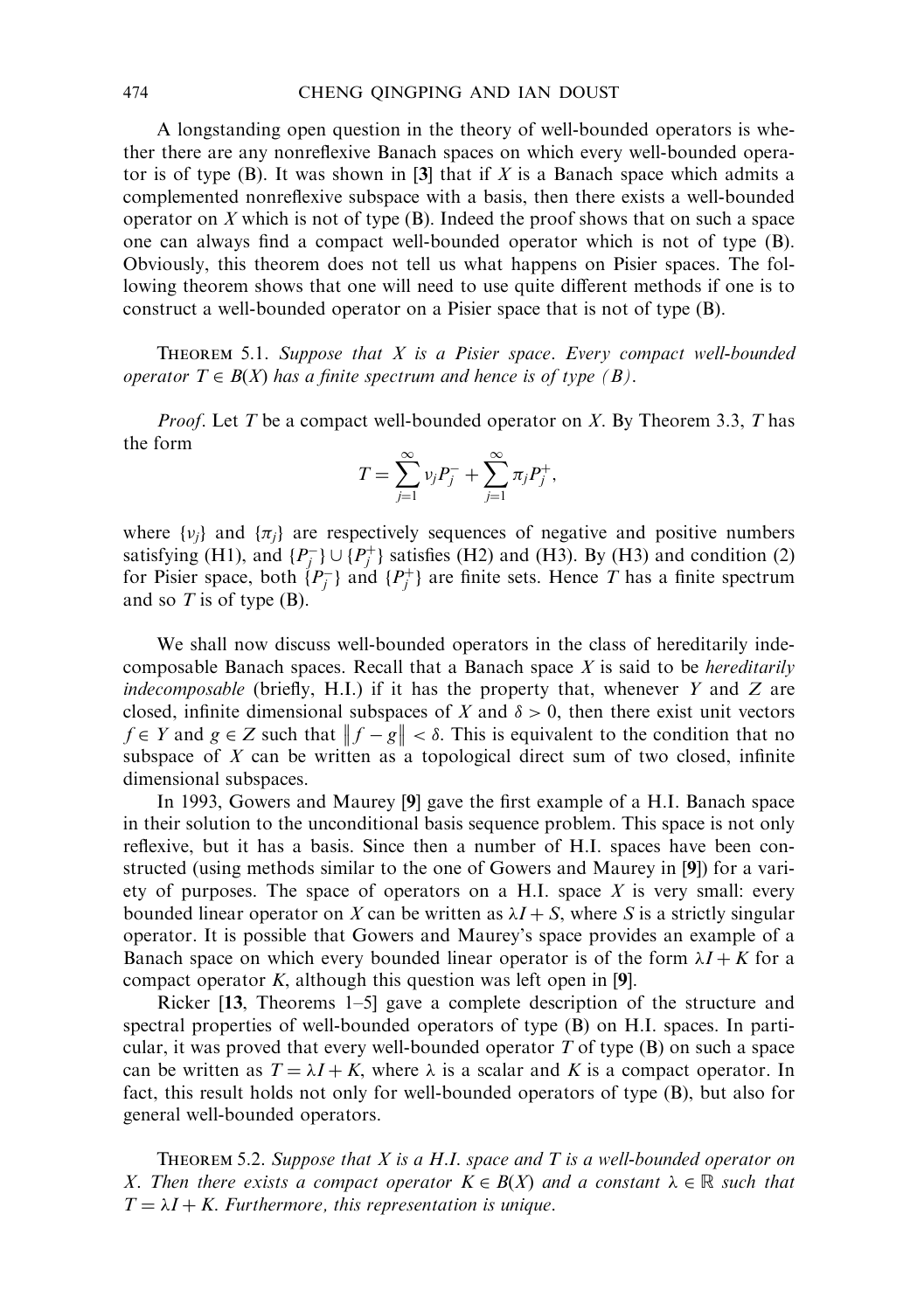A longstanding open question in the theory of well-bounded operators is whether there are any nonreflexive Banach spaces on which every well-bounded operator is of type  $(B)$ . It was shown in [3] that if X is a Banach space which admits a complemented nonreflexive subspace with a basis, then there exists a well-bounded operator on  $X$  which is not of type  $(B)$ . Indeed the proof shows that on such a space one can always find a compact well-bounded operator which is not of type (B). Obviously, this theorem does not tell us what happens on Pisier spaces. The following theorem shows that one will need to use quite different methods if one is to construct a well-bounded operator on a Pisier space that is not of type (B).

THEOREM 5.1. Suppose that  $X$  is a Pisier space. Every compact well-bounded operator  $T \in B(X)$  has a finite spectrum and hence is of type (B).

*Proof.* Let T be a compact well-bounded operator on X. By Theorem 3.3, T has the form

$$
T = \sum_{j=1}^{\infty} v_j P_j^- + \sum_{j=1}^{\infty} \pi_j P_j^+,
$$

where  $\{v_i\}$  and  $\{\pi_i\}$  are respectively sequences of negative and positive numbers satisfying (H1), and  $\{P_j^-\}\cup\{P_j^+\}$  satisfies (H2) and (H3). By (H3) and condition (2) for Pisier space, both  $\{P_j^-\}$  and  $\{P_j^+\}$  are finite sets. Hence T has a finite spectrum and so  $T$  is of type (B).

We shall now discuss well-bounded operators in the class of hereditarily indecomposable Banach spaces. Recall that a Banach space  $X$  is said to be *hereditarily* indecomposable (briefly, H.I.) if it has the property that, whenever  $Y$  and  $Z$  are closed, infinite dimensional subspaces of X and  $\delta > 0$ , then there exist unit vectors  $f \in Y$  and  $g \in Z$  such that  $||f - g|| < \delta$ . This is equivalent to the condition that no subspace of  $X$  can be written as a topological direct sum of two closed, infinite dimensional subspaces.

In 1993, Gowers and Maurey [9] gave the first example of a H.I. Banach space in their solution to the unconditional basis sequence problem. This space is not only reflexive, but it has a basis. Since then a number of H.I. spaces have been constructed (using methods similar to the one of Gowers and Maurey in [9]) for a variety of purposes. The space of operators on a H.I. space  $X$  is very small: every bounded linear operator on X can be written as  $\lambda I + S$ , where S is a strictly singular operator. It is possible that Gowers and Maurey's space provides an example of a Banach space on which every bounded linear operator is of the form  $\lambda I + K$  for a compact operator  $K$ , although this question was left open in [9].

Ricker [13, Theorems 1–5] gave a complete description of the structure and spectral properties of well-bounded operators of type (B) on H.I. spaces. In particular, it was proved that every well-bounded operator  $T$  of type  $(B)$  on such a space can be written as  $T = \lambda I + K$ , where  $\lambda$  is a scalar and K is a compact operator. In fact, this result holds not only for well-bounded operators of type (B), but also for general well-bounded operators.

THEOREM 5.2. Suppose that  $X$  is a H.I. space and  $T$  is a well-bounded operator on X. Then there exists a compact operator  $K \in B(X)$  and a constant  $\lambda \in \mathbb{R}$  such that  $T = \lambda I + K$ . Furthermore, this representation is unique.